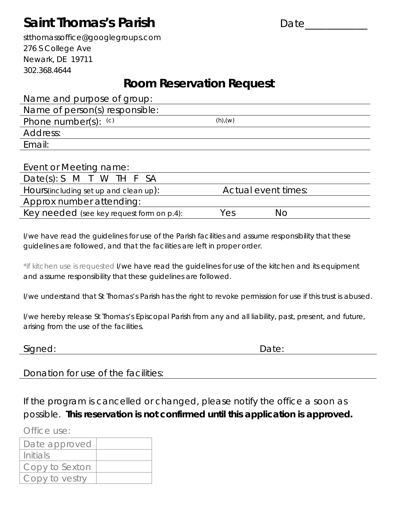# **Saint Thomas's Parish Example 20 Date**

stthomassoffice@googlegroups.com 276 S College Ave Newark, DE 19711 302.368.4644

#### *Room Reservation Request*

Name and purpose of group: Name of person(s) responsible:

| <u>rame</u> or person(s) responsible. |               |  |
|---------------------------------------|---------------|--|
| Phone number(s): $(c)$                | $(h)$ , $(w)$ |  |
| Address:                              |               |  |
| Email:                                |               |  |
|                                       |               |  |

| Event or Meeting name:                    |                     |    |
|-------------------------------------------|---------------------|----|
| Date(s): S M T W TH F SA                  |                     |    |
| Hours (including set up and clean up):    | Actual event times: |    |
| Approx number attending:                  |                     |    |
| Key needed (see key request form on p.4): | Yes                 | NΟ |

I/we have read the guidelines for use of the Parish facilities and assume responsibility that these guidelines are followed, and that the facilities are left in proper order.

\**if kitchen use is requested* I/we have read the guidelines for use of the kitchen and its equipment and assume responsibility that these guidelines are followed.

I/we understand that St Thomas's Parish has the right to revoke permission for use if this trust is abused.

I/we hereby release St Thomas's Episcopal Parish from any and all liability, past, present, and future, arising from the use of the facilities.

| Signed: | Date: |
|---------|-------|
|---------|-------|

Donation for use of the facilities:

If the program is cancelled or changed, please notify the office a soon as possible. **This reservation is not confirmed until this application is approved.**

Office use:

| Date approved  |  |
|----------------|--|
| Initials       |  |
| Copy to Sexton |  |
| Copy to yestry |  |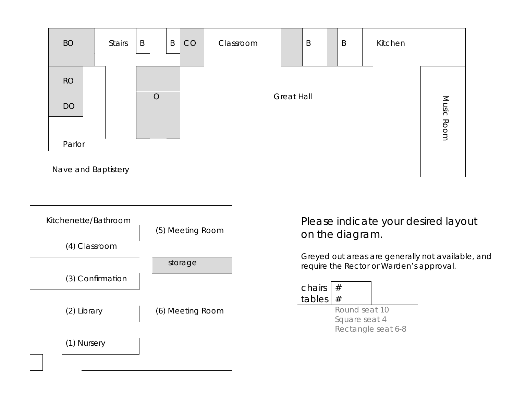



Please indicate your desired layout on the diagram.

Greyed out areas are generally not available, and require the Rector or Warden's approval.

| chairs $ #$ |  |
|-------------|--|
| tables $#$  |  |

Round seat 10 Square seat 4 Rectangle seat 6-8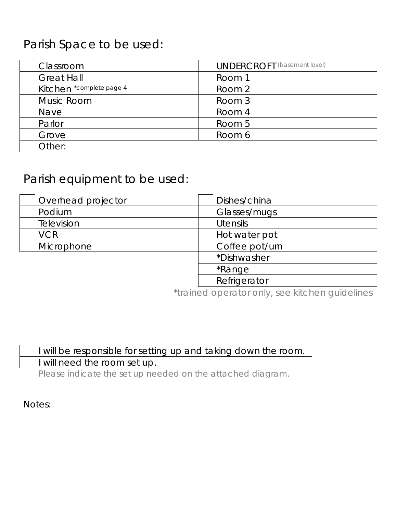# Parish Space to be used:

| Classroom                | <b>UNDERCROFT</b> (basement level) |
|--------------------------|------------------------------------|
| <b>Great Hall</b>        | Room 1                             |
| Kitchen *complete page 4 | Room 2                             |
| Music Room               | Room 3                             |
| Nave                     | Room 4                             |
| Parlor                   | Room 5                             |
| Grove                    | Room 6                             |
| Other:                   |                                    |

## Parish equipment to be used:

| Overhead projector | Dishes/china    |
|--------------------|-----------------|
| Podium             | Glasses/mugs    |
| <b>Television</b>  | <b>Utensils</b> |
| <b>VCR</b>         | Hot water pot   |
| Microphone         | Coffee pot/urn  |
|                    | *Dishwasher     |
|                    | *Range          |
|                    | Refrigerator    |

\*trained operator only, see kitchen guidelines

|  | I will be responsible for setting up and taking down the room. |
|--|----------------------------------------------------------------|
|  | I will need the room set up.                                   |

Please indicate the set up needed on the attached diagram.

Notes: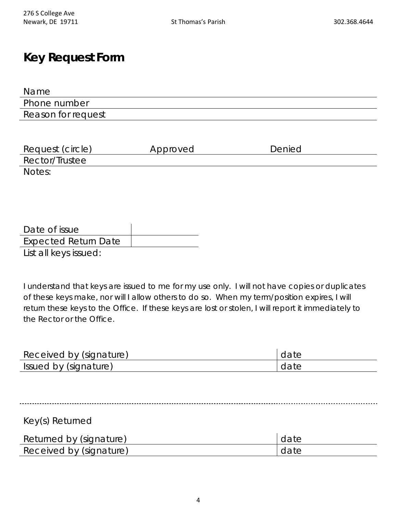#### **Key Request Form**

| Name               |  |
|--------------------|--|
| Phone number       |  |
| Reason for request |  |

| Request (circle) | Approved | Denied |
|------------------|----------|--------|
| Rector/Trustee   |          |        |
| Notes:           |          |        |

| Date of issue               |  |
|-----------------------------|--|
| <b>Expected Return Date</b> |  |
| List all keys issued:       |  |

I understand that keys are issued to me for my use only. I will not have copies or duplicates of these keys make, nor will I allow others to do so. When my term/position expires, I will return these keys to the Office. If these keys are lost or stolen, I will report it immediately to the Rector or the Office.

| Received by (signature) | date |
|-------------------------|------|
| Issued by (signature)   | date |

Key(s) Returned

| Returned by (signature) | date |
|-------------------------|------|
| Received by (signature) | date |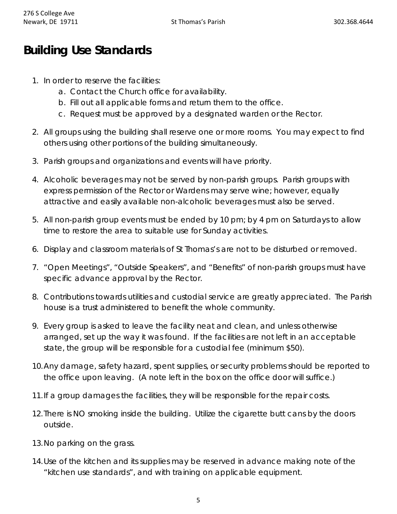## **Building Use Standards**

- 1. In order to reserve the facilities:
	- a. Contact the Church office for availability.
	- b. Fill out all applicable forms and return them to the office.
	- c. Request must be approved by a designated warden or the Rector.
- 2. All groups using the building shall reserve one or more rooms. You may expect to find others using other portions of the building simultaneously.
- 3. Parish groups and organizations and events will have priority.
- 4. Alcoholic beverages may not be served by non-parish groups. Parish groups with express permission of the Rector or Wardens may serve wine; however, equally attractive and easily available non-alcoholic beverages must also be served.
- 5. All non-parish group events must be ended by 10 pm; by 4 pm on Saturdays to allow time to restore the area to suitable use for Sunday activities.
- 6. Display and classroom materials of St Thomas's are not to be disturbed or removed.
- 7. "Open Meetings", "Outside Speakers", and "Benefits" of non-parish groups must have specific advance approval by the Rector.
- 8. Contributions towards utilities and custodial service are greatly appreciated. The Parish house is a trust administered to benefit the whole community.
- 9. Every group is asked to leave the facility neat and clean, and unless otherwise arranged, set up the way it was found. If the facilities are not left in an acceptable state, the group will be responsible for a custodial fee (minimum \$50).
- 10.Any damage, safety hazard, spent supplies, or security problems should be reported to the office upon leaving. (A note left in the box on the office door will suffice.)
- 11.If a group damages the facilities, they will be responsible for the repair costs.
- 12.There is NO smoking inside the building. Utilize the cigarette butt cans by the doors outside.
- 13.No parking on the grass.
- 14.Use of the kitchen and its supplies may be reserved in advance making note of the "kitchen use standards", and with training on applicable equipment.